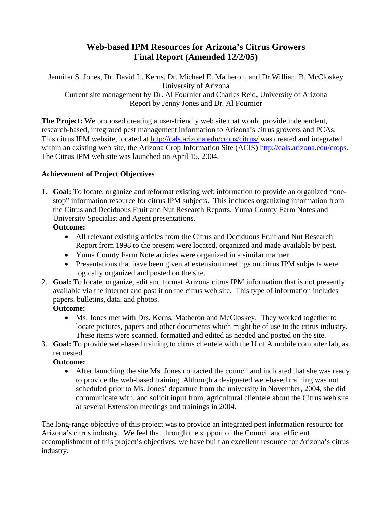# **Web-based IPM Resources for Arizona's Citrus Growers Final Report (Amended 12/2/05)**

Jennifer S. Jones, Dr. David L. Kerns, Dr. Michael E. Matheron, and Dr.William B. McCloskey University of Arizona Current site management by Dr. Al Fournier and Charles Reid, University of Arizona Report by Jenny Jones and Dr. Al Fournier

**The Project:** We proposed creating a user-friendly web site that would provide independent, research-based, integrated pest management information to Arizona's citrus growers and PCAs. This citrus IPM website, located at http://cals.arizona.edu/crops/citrus/ was created and integrated within an existing web site, the Arizona Crop Information Site (ACIS) http://cals.arizona.edu/crops. The Citrus IPM web site was launched on April 15, 2004.

### **Achievement of Project Objectives**

1. **Goal:** To locate, organize and reformat existing web information to provide an organized "onestop" information resource for citrus IPM subjects. This includes organizing information from the Citrus and Deciduous Fruit and Nut Research Reports, Yuma County Farm Notes and University Specialist and Agent presentations.

**Outcome:**

- All relevant existing articles from the Citrus and Deciduous Fruit and Nut Research Report from 1998 to the present were located, organized and made available by pest.
- Yuma County Farm Note articles were organized in a similar manner.
- Presentations that have been given at extension meetings on citrus IPM subjects were logically organized and posted on the site.
- 2. **Goal:** To locate, organize, edit and format Arizona citrus IPM information that is not presently available via the internet and post it on the citrus web site. This type of information includes papers, bulletins, data, and photos.

#### **Outcome:**

- Ms. Jones met with Drs. Kerns, Matheron and McCloskey. They worked together to locate pictures, papers and other documents which might be of use to the citrus industry. These items were scanned, formatted and edited as needed and posted on the site.
- 3. **Goal:** To provide web-based training to citrus clientele with the U of A mobile computer lab, as requested.

#### **Outcome:**

• After launching the site Ms. Jones contacted the council and indicated that she was ready to provide the web-based training. Although a designated web-based training was not scheduled prior to Ms. Jones' departure from the university in November, 2004, she did communicate with, and solicit input from, agricultural clientele about the Citrus web site at several Extension meetings and trainings in 2004.

The long-range objective of this project was to provide an integrated pest information resource for Arizona's citrus industry. We feel that through the support of the Council and efficient accomplishment of this project's objectives, we have built an excellent resource for Arizona's citrus industry.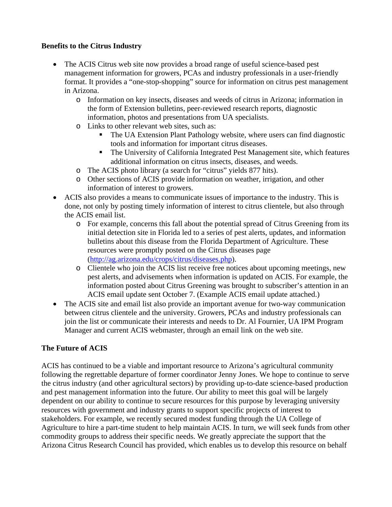#### **Benefits to the Citrus Industry**

- The ACIS Citrus web site now provides a broad range of useful science-based pest management information for growers, PCAs and industry professionals in a user-friendly format. It provides a "one-stop-shopping" source for information on citrus pest management in Arizona.
	- o Information on key insects, diseases and weeds of citrus in Arizona; information in the form of Extension bulletins, peer-reviewed research reports, diagnostic information, photos and presentations from UA specialists.
	- o Links to other relevant web sites, such as:
		- The UA Extension Plant Pathology website, where users can find diagnostic tools and information for important citrus diseases.
		- The University of California Integrated Pest Management site, which features additional information on citrus insects, diseases, and weeds.
	- o The ACIS photo library (a search for "citrus" yields 877 hits).
	- o Other sections of ACIS provide information on weather, irrigation, and other information of interest to growers.
- ACIS also provides a means to communicate issues of importance to the industry. This is done, not only by posting timely information of interest to citrus clientele, but also through the ACIS email list.
	- o For example, concerns this fall about the potential spread of Citrus Greening from its initial detection site in Florida led to a series of pest alerts, updates, and information bulletins about this disease from the Florida Department of Agriculture. These resources were promptly posted on the Citrus diseases page (http://ag.arizona.edu/crops/citrus/diseases.php).
	- o Clientele who join the ACIS list receive free notices about upcoming meetings, new pest alerts, and advisements when information is updated on ACIS. For example, the information posted about Citrus Greening was brought to subscriber's attention in an ACIS email update sent October 7. (Example ACIS email update attached.)
- The ACIS site and email list also provide an important avenue for two-way communication between citrus clientele and the university. Growers, PCAs and industry professionals can join the list or communicate their interests and needs to Dr. Al Fournier, UA IPM Program Manager and current ACIS webmaster, through an email link on the web site.

## **The Future of ACIS**

ACIS has continued to be a viable and important resource to Arizona's agricultural community following the regrettable departure of former coordinator Jenny Jones. We hope to continue to serve the citrus industry (and other agricultural sectors) by providing up-to-date science-based production and pest management information into the future. Our ability to meet this goal will be largely dependent on our ability to continue to secure resources for this purpose by leveraging university resources with government and industry grants to support specific projects of interest to stakeholders. For example, we recently secured modest funding through the UA College of Agriculture to hire a part-time student to help maintain ACIS. In turn, we will seek funds from other commodity groups to address their specific needs. We greatly appreciate the support that the Arizona Citrus Research Council has provided, which enables us to develop this resource on behalf